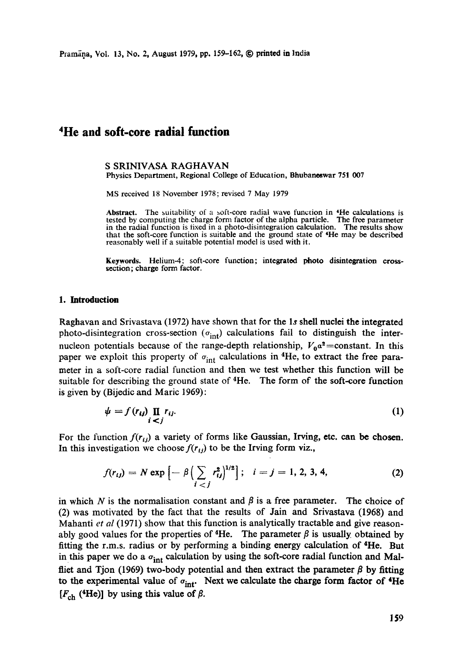Pramana, Vol. 13, No. 2, August 1979, pp. 159-162, © printed in *India* 

# **4He and soft-core radial function**

S SRINIVASA RAGHAVAN Physics Department, Regional College of Education, Bhubaneswar 751 007

MS received 18 November 1978; revised 7 May 1979

**Abstract.** The suitability of a soft-core radial wave function in 4He calculations is tested by computing the charge form factor of the alpha particle. The free parameter in the radial function is fixed in a photo-disintegration calculation. The results show that the soft-core function is suitable and the ground state of 4He may be described reasonably well if a suitable potential model is used with it.

**Keywords.** Helium-4; soft-core function; integrated photo disintegration crosssection; charge form factor.

#### **1. Introduction**

Raghavan and Srivastava (1972) have shown that for the Is shell nuclei the integrated photo-disintegration cross-section  $(\sigma_{int})$  calculations fail to distinguish the internucleon potentials because of the range-depth relationship,  $V_0a^2$ =constant. In this paper we exploit this property of  $\sigma_{int}$  calculations in <sup>4</sup>He, to extract the free parameter in a soft-core radial function and then we test whether this function will be suitable for describing the ground state of 4He. The form of the soft-core function is given by (Bijedic and Marie 1969):

$$
\psi = f(r_{ij}) \prod_{i < j} r_{ij}.\tag{1}
$$

For the function  $f(r_{ij})$  a variety of forms like Gaussian, Irving, etc. can be chosen. In this investigation we choose  $f(r_{ij})$  to be the Irving form viz.,

$$
f(r_{ij}) = N \exp \left[ -\beta \left( \sum_{i < j} r_{ij}^2 \right)^{1/2} \right]; \quad i = j = 1, 2, 3, 4,
$$

in which N is the normalisation constant and  $\beta$  is a free parameter. The choice of (2) was motivated by the fact that the results of Jain and Srivastava (1968) and Mahanti *et al* (1971) show that this function is analytically tractable and give reasonably good values for the properties of <sup>4</sup>He. The parameter  $\beta$  is usually obtained by fitting the r.m.s, radius or by performing a binding energy calculation of 4He. But in this paper we do a  $\sigma_{int}$  calculation by using the soft-core radial function and Malfliet and Tjon (1969) two-body potential and then extract the parameter  $\beta$  by fitting to the experimental value of  $\sigma_{int}$ . Next we calculate the charge form factor of  $4He$  $[F_{ch}$  (<sup>4</sup>He)] by using this value of  $\beta$ .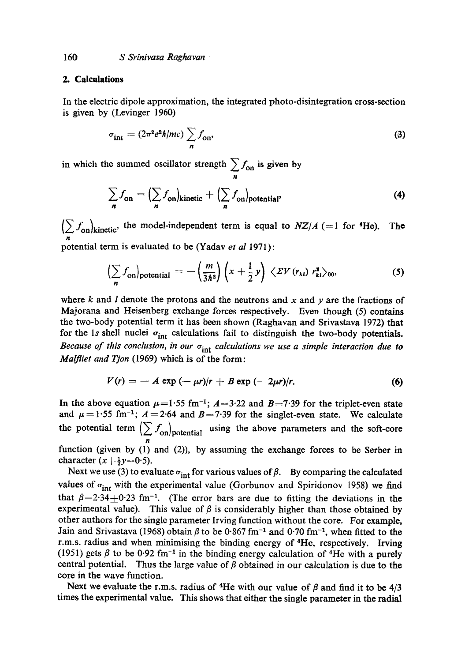#### **2. Calculations**

In the electric dipole approximation, the integrated photo-disintegration cross-section is given by (Levinger 1960)

$$
\sigma_{\rm int} = (2\pi^2 e^2 \hbar/mc) \sum_{n} f_{\rm on}, \qquad (3)
$$

in which the summed oscillator strength  $\sum f_{\text{on}}$  is given by n

$$
\sum_{n} f_{\text{on}} = \left( \sum_{n} f_{\text{on}} \right)_{\text{kinetic}} + \left( \sum_{n} f_{\text{on}} \right)_{\text{potential'}}
$$
 (4)

 $(>\int_{\Omega}|_{\text{kinetic}})$ , the model-independent term is equal to  $NZ/A$  (=1 for  ${}^4\text{He}$ ). The n

potential term is evaluated to be (Yadav *et al* 1971):

$$
\left(\sum_{n} f_{\text{on}}\right)_{\text{potential}} = -\left(\frac{m}{3\hbar^2}\right) \left(x + \frac{1}{2} y\right) \left\langle \mathcal{Z} V\left(r_{kl}\right) r_{kl}^2 \right\rangle_{00},\tag{5}
$$

where k and I denote the protons and the neutrons and x and  $\gamma$  are the fractions of Majorana and Heisenberg exchange forces respectively. Even though (5) contains the two-body potential term it has been shown (Raghavan and Srivastava 1972) that for the 1s shell nuclei  $\sigma_{int}$  calculations fail to distinguish the two-body potentials. *Because of this conclusion, in our*  $\sigma_{int}$  *calculations we use a simple interaction due to Malfliet and Tjon* (1969) which is of the form:

$$
V(r) = - A \exp(-\mu r)/r + B \exp(-2\mu r)/r.
$$
 (6)

In the above equation  $\mu=1.55$  fm<sup>-1</sup>;  $A=3.22$  and  $B=7.39$  for the triplet-even state and  $\mu = 1.55$  fm<sup>-1</sup>;  $A = 2.64$  and  $B = 7.39$  for the singlet-even state. We calculate the potential term  $\sum f_{\text{on}}$  hotential using the above parameters and the soft-core n

function (given by (1) and (2)), by assuming the exchange forces to be Serber in character  $(x+\frac{1}{2}y=0.5)$ .

Next we use (3) to evaluate  $\sigma_{int}$  for various values of  $\beta$ . By comparing the calculated values of  $\sigma_{int}$  with the experimental value (Gorbunov and Spiridonov 1958) we find that  $\beta = 2.34 \pm 0.23$  fm<sup>-1</sup>. (The error bars are due to fitting the deviations in the experimental value). This value of  $\beta$  is considerably higher than those obtained by other authors for the single parameter Irving function without the core. For example, Jain and Srivastava (1968) obtain  $\beta$  to be 0.867 fm<sup>-1</sup> and 0.70 fm<sup>-1</sup>, when fitted to the r.m.s, radius and when minimising the binding energy of 4He, respectively. Irving (1951) gets  $\beta$  to be 0.92 fm<sup>-1</sup> in the binding energy calculation of <sup>4</sup>He with a purely central potential. Thus the large value of  $\beta$  obtained in our calculation is due to the core in the wave function.

Next we evaluate the r.m.s. radius of <sup>4</sup>He with our value of  $\beta$  and find it to be 4/3 times the experimental value. This shows that either the single parameter in the radial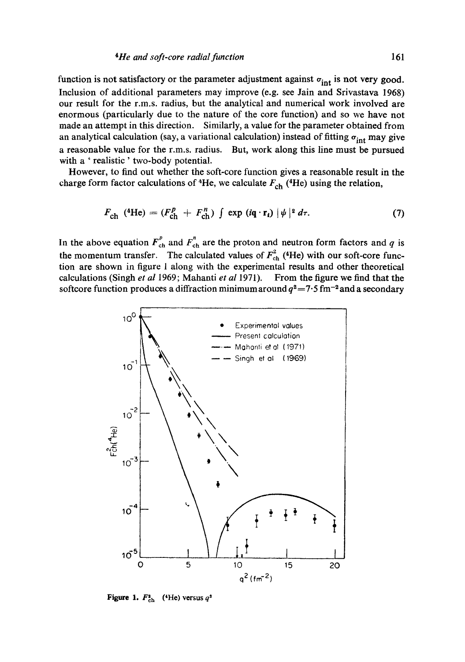function is not satisfactory or the parameter adjustment against  $\sigma_{int}$  is not very good. Inclusion of additional parameters may improve (e.g. see Jain and Srivastava 1968) our result for the r.m.s, radius, but the analytical and numerical work involved are enormous (particularly due to the nature of the core function) and so we have not made an attempt in this direction. Similarly, a value for the parameter obtained from an analytical calculation (say, a variational calculation) instead of fitting  $\sigma_{int}$  may give a reasonable value for the r.m.s, radius. But, work along this line must be pursued with a 'realistic' two-body potential.

However, to find out whether the soft-core function gives a reasonable result in the charge form factor calculations of <sup>4</sup>He, we calculate  $F_{ch}$  (<sup>4</sup>He) using the relation,

$$
F_{\rm ch} \left( ^{4}\text{He} \right) = \left( F_{\rm ch}^{p} + F_{\rm ch}^{n} \right) \int \exp \left( i \mathbf{q} \cdot \mathbf{r}_{i} \right) |\psi|^{2} d\tau. \tag{7}
$$

In the above equation  $F_{ch}^p$  and  $F_{ch}^n$  are the proton and neutron form factors and q is the momentum transfer. The calculated values of  $F_{ch}^2$  (4He) with our soft-core function are shown in figure 1 along with the experimental results and other theoretical calculations (Singh *et al* 1969; Mahanti *et al* 1971). From the figure we find that the softcore function produces a diffraction minimum around  $q^2 = 7.5$  fm<sup>-2</sup> and a secondary



**Figure 1.**  $F_{\text{ch}}^{2}$  (4He) versus  $q^{2}$